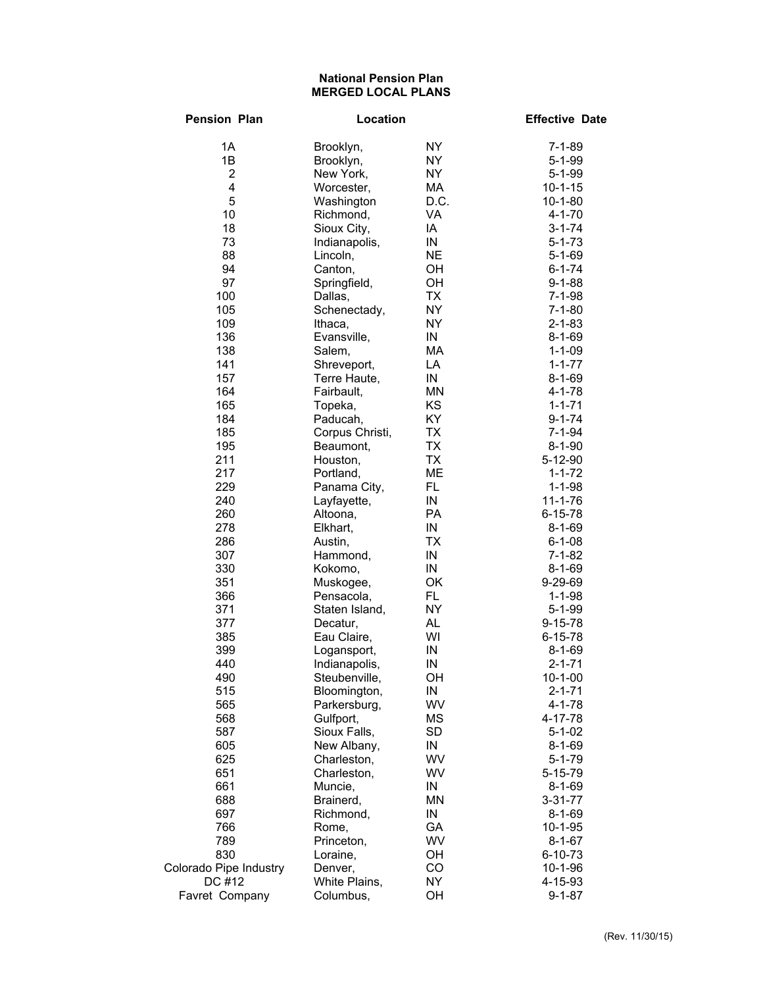## **National Pension Plan MERGED LOCAL PLANS**

| <b>Pension Plan</b>    | Location              |                        | <b>Effective Date</b>   |  |
|------------------------|-----------------------|------------------------|-------------------------|--|
| 1A                     | Brooklyn,             | NY                     | 7-1-89                  |  |
| 1B                     | Brooklyn,             | NY                     | $5 - 1 - 99$            |  |
| $\overline{c}$         | New York,             | NY                     | $5 - 1 - 99$            |  |
| 4                      | Worcester,            | МA                     | $10 - 1 - 15$           |  |
| 5                      | Washington            | D.C.                   | $10 - 1 - 80$           |  |
| 10                     | Richmond,             | VA                     | $4 - 1 - 70$            |  |
| 18                     | Sioux City,           | IA                     | $3 - 1 - 74$            |  |
| 73                     | Indianapolis,         | IN                     | $5 - 1 - 73$            |  |
| 88                     | Lincoln,              | NE.                    | $5 - 1 - 69$            |  |
| 94                     | Canton,               | OH                     | 6-1-74                  |  |
| 97                     | Springfield,          | OH                     | $9 - 1 - 88$            |  |
| 100                    | Dallas,               | <b>TX</b>              | 7-1-98                  |  |
| 105                    | Schenectady,          | <b>NY</b>              | $7 - 1 - 80$            |  |
| 109                    | Ithaca,               | <b>NY</b>              | $2 - 1 - 83$            |  |
| 136                    | Evansville,           | IN                     | $8 - 1 - 69$            |  |
| 138                    | Salem,                | MA                     | 1-1-09                  |  |
| 141                    | Shreveport,           | LA                     | $1 - 1 - 77$            |  |
| 157                    | Terre Haute,          | IN                     | $8 - 1 - 69$            |  |
| 164                    | Fairbault,            | ΜN                     | 4-1-78                  |  |
| 165                    | Topeka,               | KS                     | $1 - 1 - 71$            |  |
| 184                    | Paducah,              | KY                     | $9 - 1 - 74$            |  |
| 185                    | Corpus Christi,       | <b>TX</b>              | $7 - 1 - 94$            |  |
| 195<br>211             | Beaumont,             | <b>TX</b><br><b>TX</b> | $8 - 1 - 90$<br>5-12-90 |  |
| 217                    | Houston,<br>Portland, | ME                     | $1 - 1 - 72$            |  |
| 229                    | Panama City,          | FL.                    | $1 - 1 - 98$            |  |
| 240                    | Layfayette,           | IN                     | $11 - 1 - 76$           |  |
| 260                    | Altoona,              | PA                     | $6 - 15 - 78$           |  |
| 278                    | Elkhart,              | IN                     | $8 - 1 - 69$            |  |
| 286                    | Austin,               | ТX                     | $6 - 1 - 08$            |  |
| 307                    | Hammond,              | IN                     | $7 - 1 - 82$            |  |
| 330                    | Kokomo,               | IN                     | $8 - 1 - 69$            |  |
| 351                    | Muskogee,             | OK                     | 9-29-69                 |  |
| 366                    | Pensacola,            | FL.                    | $1 - 1 - 98$            |  |
| 371                    | Staten Island,        | <b>NY</b>              | $5 - 1 - 99$            |  |
| 377                    | Decatur,              | AL                     | $9 - 15 - 78$           |  |
| 385                    | Eau Claire,           | WI                     | 6-15-78                 |  |
| 399                    | Logansport,           | IN                     | $8 - 1 - 69$            |  |
| 440                    | Indianapolis,         | IN                     | $2 - 1 - 71$            |  |
| 490                    | Steubenville,         | OH                     | $10 - 1 - 00$           |  |
| 515                    | Bloomington,          | IN                     | $2 - 1 - 71$            |  |
| 565                    | Parkersburg,          | <b>WV</b>              | 4-1-78                  |  |
| 568                    | Gulfport,             | ΜS                     | 4-17-78                 |  |
| 587                    | Sioux Falls,          | <b>SD</b>              | $5 - 1 - 02$            |  |
| 605                    | New Albany,           | IN                     | $8 - 1 - 69$            |  |
| 625                    | Charleston,           | <b>WV</b>              | $5 - 1 - 79$            |  |
| 651                    | Charleston,           | WV                     | 5-15-79                 |  |
| 661                    | Muncie,               | IN                     | $8 - 1 - 69$            |  |
| 688                    | Brainerd,             | ΜN                     | 3-31-77                 |  |
| 697                    | Richmond,             | ${\sf IN}$             | $8 - 1 - 69$            |  |
| 766                    | Rome,                 | GA                     | $10-1-95$               |  |
| 789                    | Princeton,            | <b>WV</b>              | $8 - 1 - 67$            |  |
| 830                    | Loraine,              | OH                     | 6-10-73                 |  |
| Colorado Pipe Industry | Denver,               | CO                     | $10 - 1 - 96$           |  |
| DC #12                 | White Plains,         | NY                     | 4-15-93                 |  |
| Favret Company         | Columbus,             | OH                     | $9 - 1 - 87$            |  |